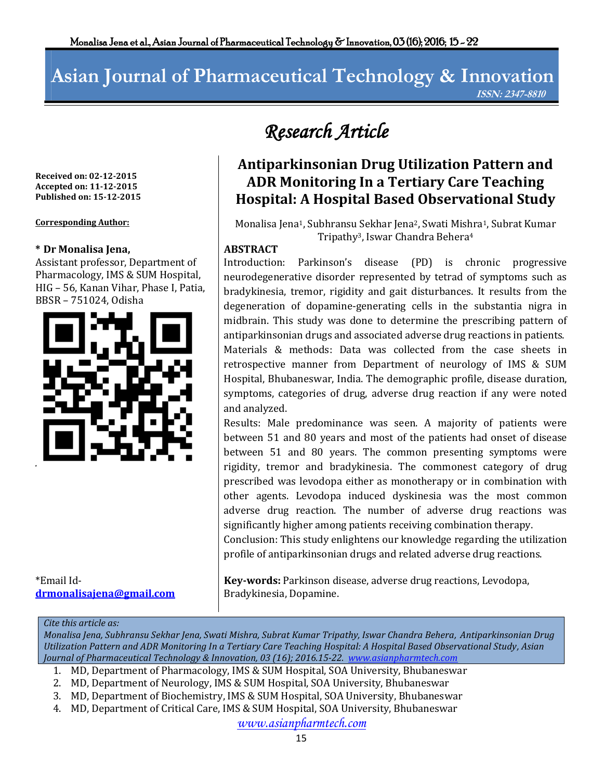# **Asian Journal of Pharmaceutical Technology & Innovation ISSN: 2347-8810**

**Received on: 02-12-2015 Accepted on: 11-12-2015 Published on: 15-12-2015**

# **\* Dr Monalisa Jena,**

Assistant professor, Department of Pharmacology, IMS & SUM Hospital, HIG – 56, Kanan Vihar, Phase I, Patia, BBSR – 751024, Odisha



\*Email Id**[drmonalisajena@gmail.com](mailto:drmonalisajena@gmail.com)**

# *Research Article*

# **Antiparkinsonian Drug Utilization Pattern and ADR Monitoring In a Tertiary Care Teaching Hospital: A Hospital Based Observational Study**

**Corresponding Author: Monalisa Jena1, Subhransu Sekhar Jena2, Swati Mishra1, Subrat Kumar** Tripathy3, Iswar Chandra Behera<sup>4</sup>

## **ABSTRACT**

Introduction: Parkinson's disease (PD) is chronic progressive neurodegenerative disorder represented by tetrad of symptoms such as bradykinesia, tremor, rigidity and gait disturbances. It results from the degeneration of [dopamine-](http://en.wikipedia.org/wiki/Dopamine)generating cells in the [substantia nigra](http://en.wikipedia.org/wiki/Substantia_nigra) in [midbrain.](http://en.wikipedia.org/wiki/Midbrain) This study was done to determine the prescribing pattern of antiparkinsonian drugs and associated adverse drug reactions in patients. Materials & methods: Data was collected from the case sheets in retrospective manner from Department of neurology of IMS & SUM Hospital, Bhubaneswar, India. The demographic profile, disease duration, symptoms, categories of drug, adverse drug reaction if any were noted and analyzed.

Results: Male predominance was seen. A majority of patients were between 51 and 80 years and most of the patients had onset of disease between 51 and 80 years. The common presenting symptoms were rigidity, tremor and bradykinesia. The commonest category of drug prescribed was levodopa either as monotherapy or in combination with other agents. Levodopa induced dyskinesia was the most common adverse drug reaction. The number of adverse drug reactions was significantly higher among patients receiving combination therapy.

Conclusion: This study enlightens our knowledge regarding the utilization profile of antiparkinsonian drugs and related adverse drug reactions.

**Key-words:** Parkinson disease, adverse drug reactions, Levodopa, Bradykinesia, Dopamine.

#### *Cite this article as:*

*Monalisa Jena, Subhransu Sekhar Jena, Swati Mishra, Subrat Kumar Tripathy, Iswar Chandra Behera, Antiparkinsonian Drug Utilization Pattern and ADR Monitoring In a Tertiary Care Teaching Hospital: A Hospital Based Observational Study, Asian Journal of Pharmaceutical Technology & Innovation, 03 (16); 2016.15-22. [www.asianpharmtech.com](http://www.asianpharmtech.com/)*

- 1. MD, Department of Pharmacology, IMS & SUM Hospital, SOA University, Bhubaneswar
- 2. MD, Department of Neurology, IMS & SUM Hospital, SOA University, Bhubaneswar
- 3. MD, Department of Biochemistry, IMS & SUM Hospital, SOA University, Bhubaneswar
- 4. MD, Department of Critical Care, IMS & SUM Hospital, SOA University, Bhubaneswar

*www.asianpharmtech.com*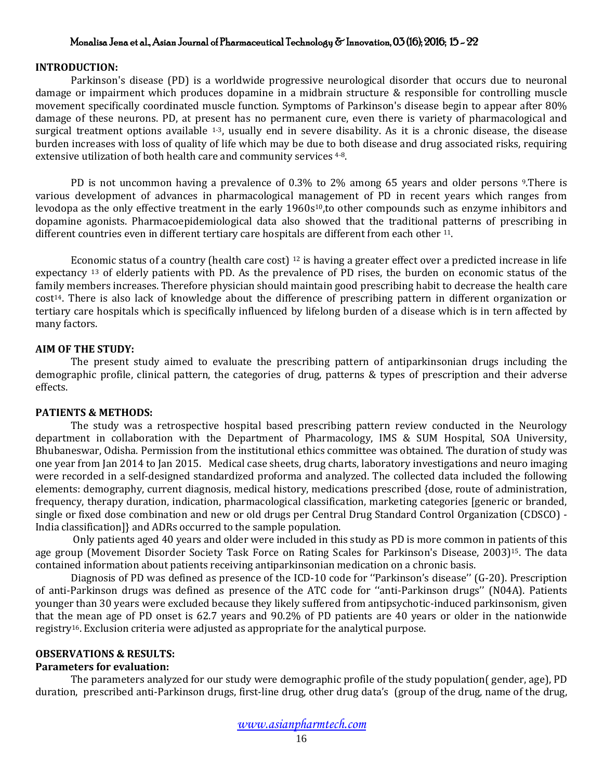#### **INTRODUCTION:**

Parkinson's disease (PD) is a worldwide progressive neurological disorder that occurs due to neuronal damage or impairment which produces dopamine in a midbrain structure & responsible for controlling muscle movement specifically coordinated muscle function. Symptoms of Parkinson's disease begin to appear after 80% damage of these neurons. PD, at present has no permanent cure, even there is variety of pharmacological and surgical treatment options available  $1-3$ , usually end in severe disability. As it is a chronic disease, the disease burden increases with loss of quality of life which may be due to both disease and drug associated risks, requiring extensive utilization of both health care and community services 4-8.

PD is not uncommon having a prevalence of 0.3% to 2% among 65 years and older persons 9. There is various development of advances in pharmacological management of PD in recent years which ranges from levodopa as the only effective treatment in the early 1960s<sup>10</sup>, to other compounds such as enzyme inhibitors and dopamine agonists. Pharmacoepidemiological data also showed that the traditional patterns of prescribing in different countries even in different tertiary care hospitals are different from each other <sup>11</sup>.

Economic status of a country (health care cost) <sup>12</sup> is having a greater effect over a predicted increase in life expectancy <sup>13</sup> of elderly patients with PD. As the prevalence of PD rises, the burden on economic status of the family members increases. Therefore physician should maintain good prescribing habit to decrease the health care cost14. There is also lack of knowledge about the difference of prescribing pattern in different organization or tertiary care hospitals which is specifically influenced by lifelong burden of a disease which is in tern affected by many factors.

#### **AIM OF THE STUDY:**

The present study aimed to evaluate the prescribing pattern of antiparkinsonian drugs including the demographic profile, clinical pattern, the categories of drug, patterns & types of prescription and their adverse effects.

#### **PATIENTS & METHODS:**

The study was a retrospective hospital based prescribing pattern review conducted in the Neurology department in collaboration with the Department of Pharmacology, IMS & SUM Hospital, SOA University, Bhubaneswar, Odisha. Permission from the institutional ethics committee was obtained. The duration of study was one year from Jan 2014 to Jan 2015. Medical case sheets, drug charts, laboratory investigations and neuro imaging were recorded in a self-designed standardized proforma and analyzed. The collected data included the following elements: demography, current diagnosis, medical history, medications prescribed {dose, route of administration, frequency, therapy duration, indication, pharmacological classification, marketing categories [generic or branded, single or fixed dose combination and new or old drugs per Central Drug Standard Control Organization (CDSCO) - India classification]} and ADRs occurred to the sample population.

Only patients aged 40 years and older were included in this study as PD is more common in patients of this age group (Movement Disorder Society Task Force on Rating Scales for Parkinson's Disease, 2003)<sup>15</sup>. The data contained information about patients receiving antiparkinsonian medication on a chronic basis.

Diagnosis of PD was defined as presence of the ICD-10 code for ''Parkinson's disease'' (G-20). Prescription of anti-Parkinson drugs was defined as presence of the ATC code for ''anti-Parkinson drugs'' (N04A). Patients younger than 30 years were excluded because they likely suffered from antipsychotic-induced parkinsonism, given that the mean age of PD onset is 62.7 years and 90.2% of PD patients are 40 years or older in the nationwide registry16. Exclusion criteria were adjusted as appropriate for the analytical purpose.

## **OBSERVATIONS & RESULTS:**

#### **Parameters for evaluation:**

The parameters analyzed for our study were demographic profile of the study population( gender, age), PD duration, prescribed anti-Parkinson drugs, first-line drug, other drug data's (group of the drug, name of the drug,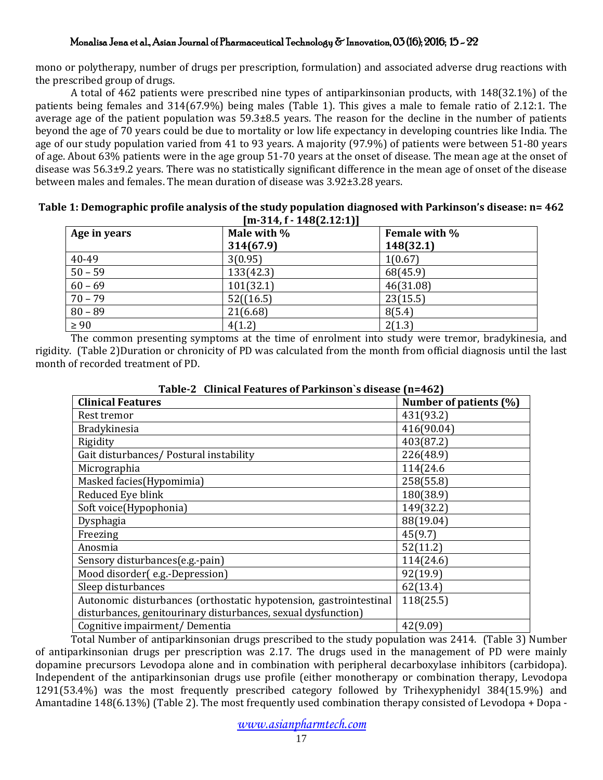mono or polytherapy, number of drugs per prescription, formulation) and associated adverse drug reactions with the prescribed group of drugs.

A total of 462 patients were prescribed nine types of antiparkinsonian products, with 148(32.1%) of the patients being females and 314(67.9%) being males (Table 1). This gives a male to female ratio of 2.12:1. The average age of the patient population was 59.3±8.5 years. The reason for the decline in the number of patients beyond the age of 70 years could be due to mortality or low life expectancy in developing countries like India. The age of our study population varied from 41 to 93 years. A majority (97.9%) of patients were between 51-80 years of age. About 63% patients were in the age group 51-70 years at the onset of disease. The mean age at the onset of disease was 56.3±9.2 years. There was no statistically significant difference in the mean age of onset of the disease between males and females. The mean duration of disease was 3.92±3.28 years.

|                  | Table 1: Demographic profile analysis of the study population diagnosed with Parkinson's disease: n= 462 |                                                    |  |
|------------------|----------------------------------------------------------------------------------------------------------|----------------------------------------------------|--|
|                  | $[m-314, f-148(2.12:1)]$                                                                                 |                                                    |  |
| $A - 2 - 2 - 12$ | $M - L - L - L$                                                                                          | $E_{\text{max}}$ and $E_{\text{max}}$ and $\theta$ |  |

| Age in years | Male with % | Female with % |  |
|--------------|-------------|---------------|--|
|              | 314(67.9)   | 148(32.1)     |  |
| 40-49        | 3(0.95)     | 1(0.67)       |  |
| $50 - 59$    | 133(42.3)   | 68(45.9)      |  |
| $60 - 69$    | 101(32.1)   | 46(31.08)     |  |
| $70 - 79$    | 52((16.5)   | 23(15.5)      |  |
| $80 - 89$    | 21(6.68)    | 8(5.4)        |  |
| $\geq 90$    | 4(1.2)      | 2(1.3)        |  |

The common presenting symptoms at the time of enrolment into study were tremor, bradykinesia, and rigidity. (Table 2)Duration or chronicity of PD was calculated from the month from official diagnosis until the last month of recorded treatment of PD.

| Table $E$ chineal Features of Farkinson 3 disease (H-T02)         |                        |  |
|-------------------------------------------------------------------|------------------------|--|
| <b>Clinical Features</b>                                          | Number of patients (%) |  |
| Rest tremor                                                       | 431(93.2)              |  |
| <b>Bradykinesia</b>                                               | 416(90.04)             |  |
| Rigidity                                                          | 403(87.2)              |  |
| Gait disturbances/ Postural instability                           | 226(48.9)              |  |
| Micrographia                                                      | 114(24.6)              |  |
| Masked facies (Hypomimia)                                         | 258(55.8)              |  |
| Reduced Eye blink                                                 | 180(38.9)              |  |
| Soft voice(Hypophonia)                                            | 149(32.2)              |  |
| Dysphagia                                                         | 88(19.04)              |  |
| Freezing                                                          | 45(9.7)                |  |
| Anosmia                                                           | 52(11.2)               |  |
| Sensory disturbances(e.g.-pain)                                   | 114(24.6)              |  |
| Mood disorder(e.g.-Depression)                                    | 92(19.9)               |  |
| Sleep disturbances                                                | 62(13.4)               |  |
| Autonomic disturbances (orthostatic hypotension, gastrointestinal | 118(25.5)              |  |
| disturbances, genitourinary disturbances, sexual dysfunction)     |                        |  |
| Cognitive impairment/ Dementia                                    | 42(9.09)               |  |
|                                                                   |                        |  |

| Table-2 Clinical Features of Parkinson's disease (n=462) |
|----------------------------------------------------------|
|----------------------------------------------------------|

Total Number of antiparkinsonian drugs prescribed to the study population was 2414. (Table 3) Number of antiparkinsonian drugs per prescription was 2.17. The drugs used in the management of PD were mainly dopamine precursors Levodopa alone and in combination with peripheral decarboxylase inhibitors (carbidopa). Independent of the antiparkinsonian drugs use profile (either monotherapy or combination therapy, Levodopa 1291(53.4%) was the most frequently prescribed category followed by Trihexyphenidyl 384(15.9%) and Amantadine 148(6.13%) (Table 2). The most frequently used combination therapy consisted of Levodopa + Dopa -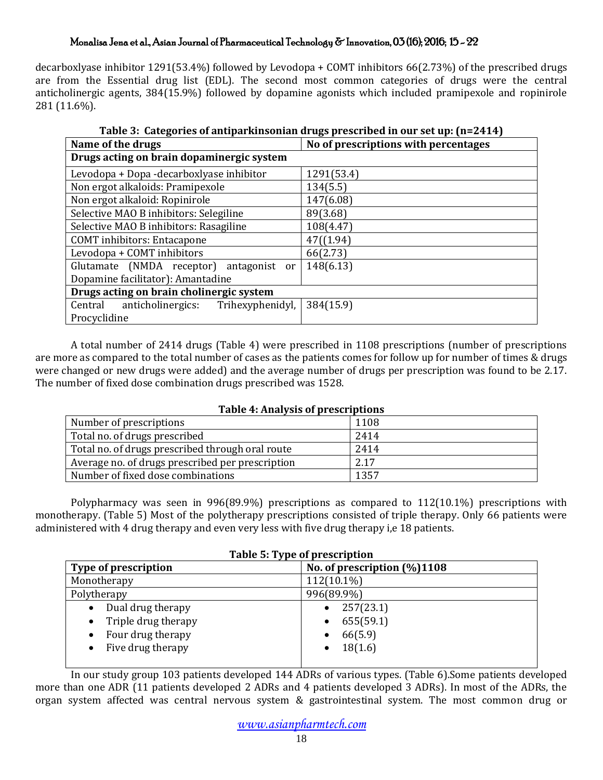decarboxlyase inhibitor 1291(53.4%) followed by Levodopa + COMT inhibitors 66(2.73%) of the prescribed drugs are from the Essential drug list (EDL). The second most common categories of drugs were the central anticholinergic agents, 384(15.9%) followed by dopamine agonists which included pramipexole and ropinirole 281 (11.6%).

| Table 3: Categories of antiparkinsonian drugs prescribed in our set up: [n=2414] |                                      |  |
|----------------------------------------------------------------------------------|--------------------------------------|--|
| Name of the drugs                                                                | No of prescriptions with percentages |  |
| Drugs acting on brain dopaminergic system                                        |                                      |  |
| Levodopa + Dopa -decarboxlyase inhibitor                                         | 1291(53.4)                           |  |
| Non ergot alkaloids: Pramipexole                                                 | 134(5.5)                             |  |
| Non ergot alkaloid: Ropinirole                                                   | 147(6.08)                            |  |
| Selective MAO B inhibitors: Selegiline                                           | 89(3.68)                             |  |
| Selective MAO B inhibitors: Rasagiline                                           | 108(4.47)                            |  |
| <b>COMT</b> inhibitors: Entacapone                                               | 47( (1.94)                           |  |
| Levodopa + COMT inhibitors                                                       | 66(2.73)                             |  |
| Glutamate (NMDA receptor)<br>antagonist<br><sub>or</sub>                         | 148(6.13)                            |  |
| Dopamine facilitator): Amantadine                                                |                                      |  |
| Drugs acting on brain cholinergic system                                         |                                      |  |
| Trihexyphenidyl,<br>anticholinergics:<br>Central                                 | 384(15.9)                            |  |
| Procyclidine                                                                     |                                      |  |

**Table 3: Categories of antiparkinsonian drugs prescribed in our set up: (n=2414)**

A total number of 2414 drugs (Table 4) were prescribed in 1108 prescriptions (number of prescriptions are more as compared to the total number of cases as the patients comes for follow up for number of times & drugs were changed or new drugs were added) and the average number of drugs per prescription was found to be 2.17. The number of fixed dose combination drugs prescribed was 1528.

# **Table 4: Analysis of prescriptions**

| Number of prescriptions                          | 1108 |
|--------------------------------------------------|------|
| Total no. of drugs prescribed                    | 2414 |
| Total no. of drugs prescribed through oral route | 2414 |
| Average no. of drugs prescribed per prescription | 2.17 |
| Number of fixed dose combinations                | 1357 |

Polypharmacy was seen in 996(89.9%) prescriptions as compared to 112(10.1%) prescriptions with monotherapy. (Table 5) Most of the polytherapy prescriptions consisted of triple therapy. Only 66 patients were administered with 4 drug therapy and even very less with five drug therapy i,e 18 patients.

**Table 5: Type of prescription**

| No. of prescription $(\% )1108$ |
|---------------------------------|
|                                 |
|                                 |
|                                 |
|                                 |

In our study group 103 patients developed 144 ADRs of various types. (Table 6).Some patients developed more than one ADR (11 patients developed 2 ADRs and 4 patients developed 3 ADRs). In most of the ADRs, the organ system affected was central nervous system & gastrointestinal system. The most common drug or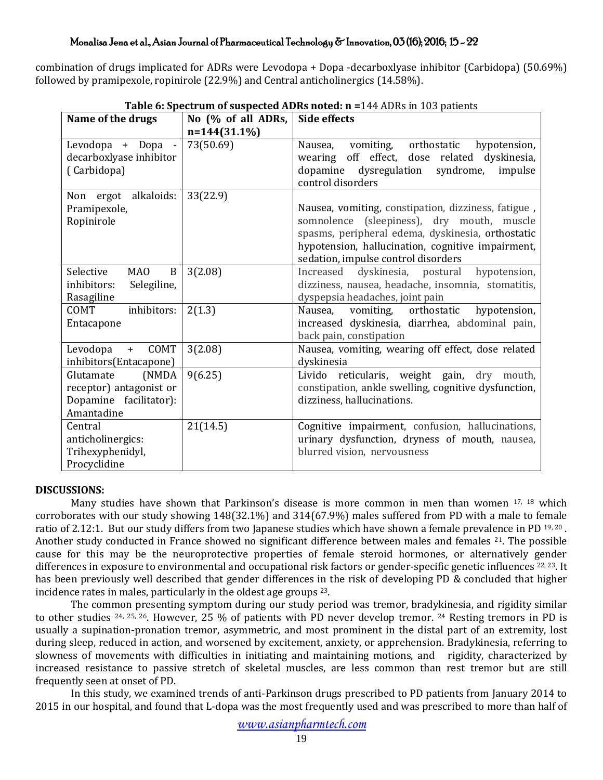combination of drugs implicated for ADRs were Levodopa + Dopa -decarboxlyase inhibitor (Carbidopa) (50.69%) followed by pramipexole, ropinirole (22.9%) and Central anticholinergics (14.58%).

| Name of the drugs                                                                      | No (% of all ADRs, | Side effects                                                                                                                                                                                                                                       |
|----------------------------------------------------------------------------------------|--------------------|----------------------------------------------------------------------------------------------------------------------------------------------------------------------------------------------------------------------------------------------------|
|                                                                                        | $n=144(31.1\%)$    |                                                                                                                                                                                                                                                    |
| Levodopa + Dopa<br>$\sim$<br>decarboxlyase inhibitor<br>(Carbidopa)                    | 73(50.69)          | orthostatic<br>vomiting,<br>Nausea,<br>hypotension,<br>off effect, dose related dyskinesia,<br>wearing<br>syndrome,<br>dopamine<br>dysregulation<br>impulse<br>control disorders                                                                   |
| Non ergot alkaloids:<br>Pramipexole,<br>Ropinirole                                     | 33(22.9)           | Nausea, vomiting, constipation, dizziness, fatigue,<br>somnolence (sleepiness), dry mouth, muscle<br>spasms, peripheral edema, dyskinesia, orthostatic<br>hypotension, hallucination, cognitive impairment,<br>sedation, impulse control disorders |
| MA <sub>0</sub><br>Selective<br>$\bf{B}$<br>inhibitors:<br>Selegiline,<br>Rasagiline   | 3(2.08)            | Increased dyskinesia, postural<br>hypotension,<br>dizziness, nausea, headache, insomnia, stomatitis,<br>dyspepsia headaches, joint pain                                                                                                            |
| inhibitors:<br>COMT<br>Entacapone                                                      | 2(1.3)             | vomiting, orthostatic<br>hypotension,<br>Nausea,<br>increased dyskinesia, diarrhea, abdominal pain,<br>back pain, constipation                                                                                                                     |
| COMT<br>Levodopa<br>$+$<br>inhibitors(Entacapone)                                      | 3(2.08)            | Nausea, vomiting, wearing off effect, dose related<br>dyskinesia                                                                                                                                                                                   |
| Glutamate<br>(NMDA)<br>receptor) antagonist or<br>Dopamine facilitator):<br>Amantadine | 9(6.25)            | Livido reticularis, weight gain, dry mouth,<br>constipation, ankle swelling, cognitive dysfunction,<br>dizziness, hallucinations.                                                                                                                  |
| Central<br>anticholinergics:<br>Trihexyphenidyl,<br>Procyclidine                       | 21(14.5)           | Cognitive impairment, confusion, hallucinations,<br>urinary dysfunction, dryness of mouth, nausea,<br>blurred vision, nervousness                                                                                                                  |

**Table 6: Spectrum of suspected ADRs noted: n =**144 ADRs in 103 patients

# **DISCUSSIONS:**

Many studies have shown that Parkinson's disease is more common in men than women  $17$ ,  $18$  which corroborates with our study showing 148(32.1%) and 314(67.9%) males suffered from PD with a male to female ratio of 2.12:1. But our study differs from two Japanese studies which have shown a female prevalence in PD 19, 20. Another study conducted in France showed no significant difference between males and females <sup>21</sup>. The possible cause for this may be the neuroprotective properties of female steroid hormones, or alternatively gender differences in exposure to environmental and occupational risk factors or gender-specific genetic influences <sup>22, 23</sup>. It has been previously well described that gender differences in the risk of developing PD & concluded that higher incidence rates in males, particularly in the oldest age groups 23.

The common presenting symptom during our study period was tremor, bradykinesia, and rigidity similar to other studies <sup>24, 25, 26</sup>. However, 25 % of patients with PD never develop tremor. <sup>24</sup> Resting tremors in PD is usually a supination-pronation tremor, asymmetric, and most prominent in the distal part of an extremity, lost during sleep, reduced in action, and worsened by excitement, anxiety, or apprehension. Bradykinesia, referring to slowness of movements with difficulties in initiating and maintaining motions, and rigidity, characterized by increased resistance to passive stretch of skeletal muscles, are less common than rest tremor but are still frequently seen at onset of PD.

In this study, we examined trends of anti-Parkinson drugs prescribed to PD patients from January 2014 to 2015 in our hospital, and found that L-dopa was the most frequently used and was prescribed to more than half of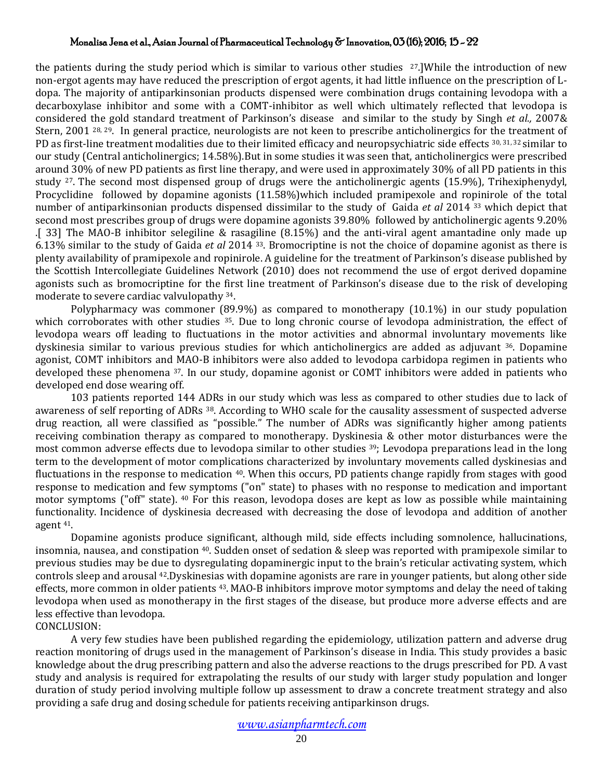the patients during the study period which is similar to various other studies  $27.$ ]While the introduction of new non-ergot agents may have reduced the prescription of ergot agents, it had little influence on the prescription of Ldopa. The majority of antiparkinsonian products dispensed were combination drugs containing levodopa with a decarboxylase inhibitor and some with a COMT-inhibitor as well which ultimately reflected that levodopa is considered the gold standard treatment of Parkinson's disease and similar to the study by Singh *et al.,* 2007& Stern, 2001 <sup>28, 29</sup>. In general practice, neurologists are not keen to prescribe anticholinergics for the treatment of PD as first-line treatment modalities due to their limited efficacy and neuropsychiatric side effects 30, 31, 32 similar to our study (Central anticholinergics; 14.58%).But in some studies it was seen that, anticholinergics were prescribed around 30% of new PD patients as first line therapy, and were used in approximately 30% of all PD patients in this study <sup>27</sup>. The second most dispensed group of drugs were the anticholinergic agents (15.9%), Trihexiphenydyl, Procyclidine followed by dopamine agonists (11.58%)which included pramipexole and ropinirole of the total number of antiparkinsonian products dispensed dissimilar to the study of Gaida *et al* 2014 <sup>33</sup> which depict that second most prescribes group of drugs were dopamine agonists 39.80% followed by anticholinergic agents 9.20% .[ 33] The MAO-B inhibitor selegiline & rasagiline (8.15%) and the anti-viral agent amantadine only made up 6.13% similar to the study of Gaida *et al* 2014 <sup>33</sup>. Bromocriptine is not the choice of dopamine agonist as there is plenty availability of pramipexole and ropinirole. A guideline for the treatment of Parkinson's disease published by the Scottish Intercollegiate Guidelines Network (2010) does not recommend the use of ergot derived dopamine agonists such as bromocriptine for the first line treatment of Parkinson's disease due to the risk of developing moderate to severe cardiac valvulopathy <sup>34</sup>.

Polypharmacy was commoner (89.9%) as compared to monotherapy (10.1%) in our study population which corroborates with other studies 35. Due to long chronic course of levodopa administration, the effect of levodopa wears off leading to fluctuations in the motor activities and abnormal involuntary movements like dyskinesia similar to various previous studies for which anticholinergics are added as adjuvant <sup>36</sup>. Dopamine agonist, COMT inhibitors and MAO-B inhibitors were also added to levodopa carbidopa regimen in patients who developed these phenomena 37. In our study, dopamine agonist or COMT inhibitors were added in patients who developed end dose wearing off.

103 patients reported 144 ADRs in our study which was less as compared to other studies due to lack of awareness of self reporting of ADRs 38. According to WHO scale for the causality assessment of suspected adverse drug reaction, all were classified as "possible." The number of ADRs was significantly higher among patients receiving combination therapy as compared to monotherapy. Dyskinesia & other motor disturbances were the most common adverse effects due to levodopa similar to other studies <sup>39</sup>; Levodopa preparations lead in the long term to the development of motor complications characterized by involuntary movements called dyskinesias and fluctuations in the response to medication 40. When this occurs, PD patients change rapidly from stages with good response to medication and few symptoms ("on" state) to phases with no response to medication and important motor symptoms ("off" state). <sup>40</sup> For this reason, levodopa doses are kept as low as possible while maintaining functionality. Incidence of dyskinesia decreased with decreasing the dose of levodopa and addition of another agent <sup>41</sup>.

Dopamine agonists produce significant, although mild, side effects including somnolence, hallucinations, insomnia, nausea, and constipation 40. Sudden onset of sedation & sleep was reported with pramipexole similar to previous studies may be due to dysregulating dopaminergic input to the brain's reticular activating system, which controls sleep and arousal <sup>42</sup>.Dyskinesias with dopamine agonists are rare in younger patients, but along other side effects, more common in older patients 43. MAO-B inhibitors improve motor symptoms and delay the need of taking levodopa when used as monotherapy in the first stages of the disease, but produce more adverse effects and are less effective than levodopa.

CONCLUSION:

A very few studies have been published regarding the epidemiology, utilization pattern and adverse drug reaction monitoring of drugs used in the management of Parkinson's disease in India. This study provides a basic knowledge about the drug prescribing pattern and also the adverse reactions to the drugs prescribed for PD. A vast study and analysis is required for extrapolating the results of our study with larger study population and longer duration of study period involving multiple follow up assessment to draw a concrete treatment strategy and also providing a safe drug and dosing schedule for patients receiving antiparkinson drugs.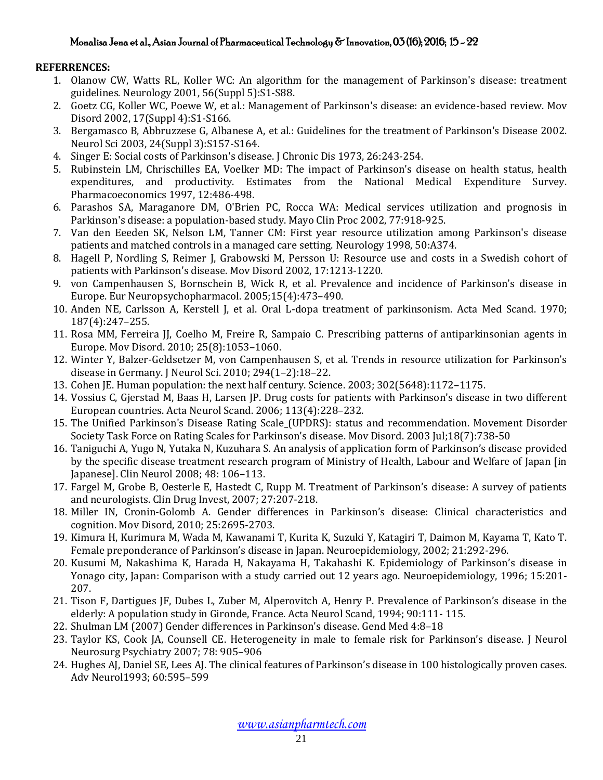# **REFERRENCES:**

- 1. Olanow CW, Watts RL, Koller WC: An algorithm for the management of Parkinson's disease: treatment guidelines. Neurology 2001, 56(Suppl 5):S1-S88.
- 2. Goetz CG, Koller WC, Poewe W, et al.: Management of Parkinson's disease: an evidence-based review. Mov Disord 2002, 17(Suppl 4):S1-S166.
- 3. Bergamasco B, Abbruzzese G, Albanese A, et al.: Guidelines for the treatment of Parkinson's Disease 2002. Neurol Sci 2003, 24(Suppl 3):S157-S164.
- 4. Singer E: Social costs of Parkinson's disease. J Chronic Dis 1973, 26:243-254.
- 5. Rubinstein LM, Chrischilles EA, Voelker MD: The impact of Parkinson's disease on health status, health expenditures, and productivity. Estimates from the National Medical Expenditure Survey. Pharmacoeconomics 1997, 12:486-498.
- 6. Parashos SA, Maraganore DM, O'Brien PC, Rocca WA: Medical services utilization and prognosis in Parkinson's disease: a population-based study. Mayo Clin Proc 2002, 77:918-925.
- 7. Van den Eeeden SK, Nelson LM, Tanner CM: First year resource utilization among Parkinson's disease patients and matched controls in a managed care setting. Neurology 1998, 50:A374.
- 8. Hagell P, Nordling S, Reimer J, Grabowski M, Persson U: Resource use and costs in a Swedish cohort of patients with Parkinson's disease. Mov Disord 2002, 17:1213-1220.
- 9. von Campenhausen S, Bornschein B, Wick R, et al. Prevalence and incidence of Parkinson's disease in Europe. Eur Neuropsychopharmacol. 2005;15(4):473–490.
- 10. Anden NE, Carlsson A, Kerstell J, et al. Oral L-dopa treatment of parkinsonism. Acta Med Scand. 1970; 187(4):247–255.
- 11. Rosa MM, Ferreira JJ, Coelho M, Freire R, Sampaio C. Prescribing patterns of antiparkinsonian agents in Europe. Mov Disord. 2010; 25(8):1053–1060.
- 12. Winter Y, Balzer-Geldsetzer M, von Campenhausen S, et al. Trends in resource utilization for Parkinson's disease in Germany. J Neurol Sci. 2010; 294(1–2):18–22.
- 13. Cohen JE. Human population: the next half century. Science. 2003; 302(5648):1172–1175.
- 14. Vossius C, Gjerstad M, Baas H, Larsen JP. Drug costs for patients with Parkinson's disease in two different European countries. Acta Neurol Scand. 2006; 113(4):228–232.
- 15. The Unified Parkinson's Disease Rating Scale (UPDRS): status and recommendation. [Movement Disorder](http://www.ncbi.nlm.nih.gov/pubmed/?term=Movement%20Disorder%20Society%20Task%20Force%20on%20Rating%20Scales%20for%20Parkinson%27s%20Disease%5BCorporate%20Author%5D)  [Society Task Force on Rating Scales for Parkinson's disease.](http://www.ncbi.nlm.nih.gov/pubmed/?term=Movement%20Disorder%20Society%20Task%20Force%20on%20Rating%20Scales%20for%20Parkinson%27s%20Disease%5BCorporate%20Author%5D) [Mov Disord.](http://www.ncbi.nlm.nih.gov/pubmed/12815652) 2003 Jul;18(7):738-50
- 16. Taniguchi A, Yugo N, Yutaka N, Kuzuhara S. An analysis of application form of Parkinson's disease provided by the specific disease treatment research program of Ministry of Health, Labour and Welfare of Japan [in Japanese]. Clin Neurol 2008; 48: 106–113.
- 17. Fargel M, Grobe B, Oesterle E, Hastedt C, Rupp M. Treatment of Parkinson's disease: A survey of patients and neurologists. Clin Drug Invest, 2007; 27:207-218.
- 18. Miller IN, Cronin-Golomb A. Gender differences in Parkinson's disease: Clinical characteristics and cognition. Mov Disord, 2010; 25:2695-2703.
- 19. Kimura H, Kurimura M, Wada M, Kawanami T, Kurita K, Suzuki Y, Katagiri T, Daimon M, Kayama T, Kato T. Female preponderance of Parkinson's disease in Japan. Neuroepidemiology, 2002; 21:292-296.
- 20. Kusumi M, Nakashima K, Harada H, Nakayama H, Takahashi K. Epidemiology of Parkinson's disease in Yonago city, Japan: Comparison with a study carried out 12 years ago. Neuroepidemiology, 1996; 15:201- 207.
- 21. Tison F, Dartigues JF, Dubes L, Zuber M, Alperovitch A, Henry P. Prevalence of Parkinson's disease in the elderly: A population study in Gironde, France. Acta Neurol Scand, 1994; 90:111- 115.
- 22. Shulman LM (2007) Gender differences in Parkinson's disease. Gend Med 4:8–18
- 23. Taylor KS, Cook JA, Counsell CE. Heterogeneity in male to female risk for Parkinson's disease. J Neurol Neurosurg Psychiatry 2007; 78: 905–906
- 24. Hughes AJ, Daniel SE, Lees AJ. The clinical features of Parkinson's disease in 100 histologically proven cases. Adv Neurol1993; 60:595–599